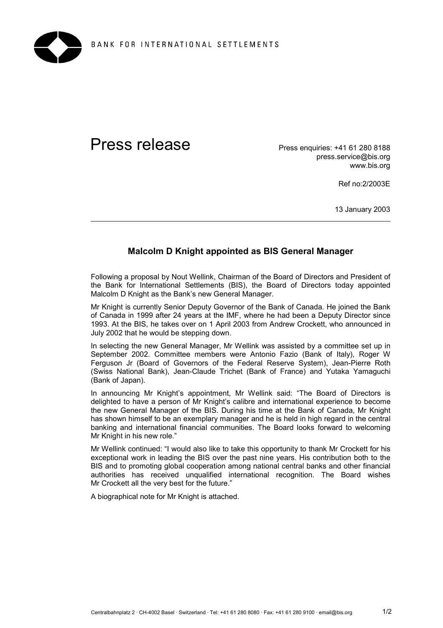

## Press release Press enquiries: +41 61 280 8188

press.service@bis.org www.bis.org

Ref no:2/2003E

13 January 2003

## **Malcolm D Knight appointed as BIS General Manager**

Following a proposal by Nout Wellink, Chairman of the Board of Directors and President of the Bank for International Settlements (BIS), the Board of Directors today appointed Malcolm D Knight as the Bank's new General Manager.

Mr Knight is currently Senior Deputy Governor of the Bank of Canada. He joined the Bank of Canada in 1999 after 24 years at the IMF, where he had been a Deputy Director since 1993. At the BIS, he takes over on 1 April 2003 from Andrew Crockett, who announced in July 2002 that he would be stepping down.

In selecting the new General Manager, Mr Wellink was assisted by a committee set up in September 2002. Committee members were Antonio Fazio (Bank of Italy), Roger W Ferguson Jr (Board of Governors of the Federal Reserve System), Jean-Pierre Roth (Swiss National Bank), Jean-Claude Trichet (Bank of France) and Yutaka Yamaguchi (Bank of Japan).

In announcing Mr Knight's appointment, Mr Wellink said: "The Board of Directors is delighted to have a person of Mr Knight's calibre and international experience to become the new General Manager of the BIS. During his time at the Bank of Canada, Mr Knight has shown himself to be an exemplary manager and he is held in high regard in the central banking and international financial communities. The Board looks forward to welcoming Mr Knight in his new role."

Mr Wellink continued: "I would also like to take this opportunity to thank Mr Crockett for his exceptional work in leading the BIS over the past nine years. His contribution both to the BIS and to promoting global cooperation among national central banks and other financial authorities has received unqualified international recognition. The Board wishes Mr Crockett all the very best for the future."

A biographical note for Mr Knight is attached.